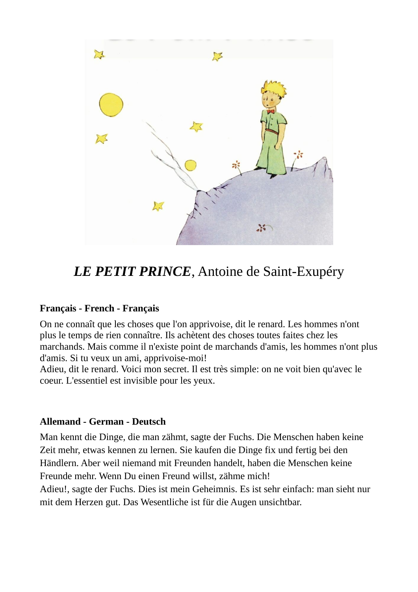

## *LE PETIT PRINCE*, Antoine de Saint-Exupéry

## **Français - French - Français**

On ne connaît que les choses que l'on apprivoise, dit le renard. Les hommes n'ont plus le temps de rien connaître. Ils achètent des choses toutes faites chez les marchands. Mais comme il n'existe point de marchands d'amis, les hommes n'ont plus d'amis. Si tu veux un ami, apprivoise-moi!

Adieu, dit le renard. Voici mon secret. Il est très simple: on ne voit bien qu'avec le coeur. L'essentiel est invisible pour les yeux.

## **Allemand - German - Deutsch**

Man kennt die Dinge, die man zähmt, sagte der Fuchs. Die Menschen haben keine Zeit mehr, etwas kennen zu lernen. Sie kaufen die Dinge fix und fertig bei den Händlern. Aber weil niemand mit Freunden handelt, haben die Menschen keine Freunde mehr. Wenn Du einen Freund willst, zähme mich!

Adieu!, sagte der Fuchs. Dies ist mein Geheimnis. Es ist sehr einfach: man sieht nur mit dem Herzen gut. Das Wesentliche ist für die Augen unsichtbar.